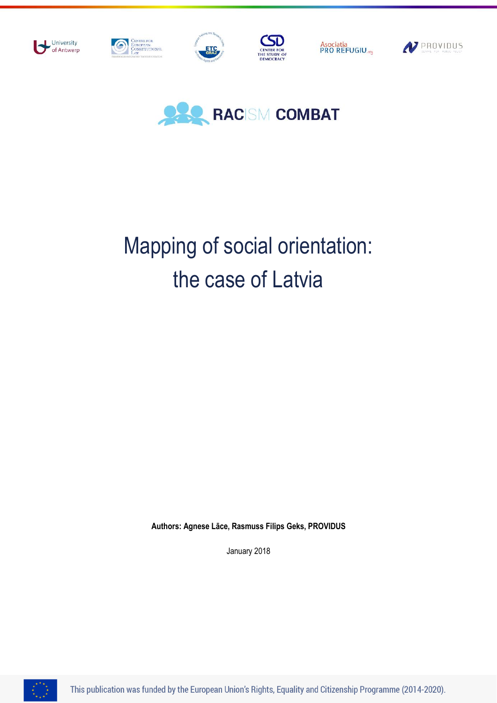



# Mapping of social orientation: the case of Latvia

**Authors: Agnese Lāce, Rasmuss Filips Geks, PROVIDUS**

January 2018



This publication was funded by the European Union's Rights, Equality and Citizenship Programme (2014-2020).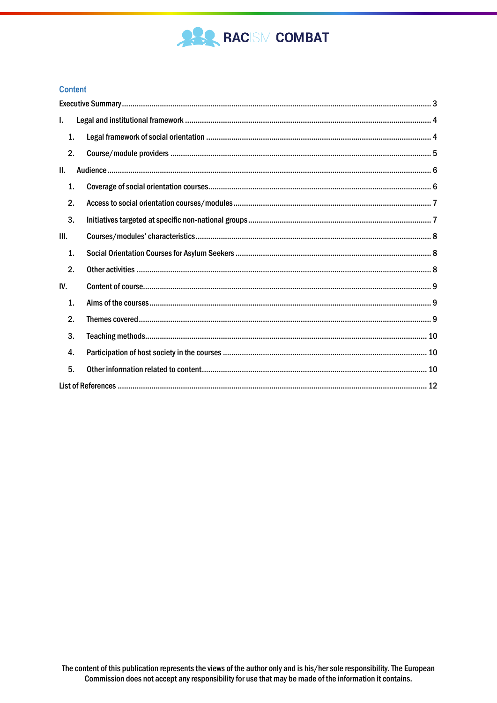

#### **Content**

| L.             |  |  |
|----------------|--|--|
| $\mathbf{1}$ . |  |  |
| 2.             |  |  |
| H.             |  |  |
| 1.             |  |  |
| 2.             |  |  |
| 3.             |  |  |
| III.           |  |  |
| $\mathbf{1}$ . |  |  |
| 2.             |  |  |
| IV.            |  |  |
| 1.             |  |  |
| 2.             |  |  |
| 3.             |  |  |
| 4.             |  |  |
| 5.             |  |  |
|                |  |  |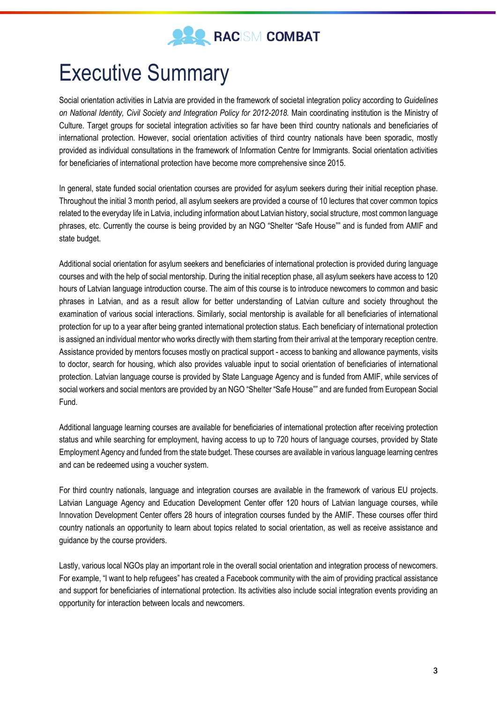

## <span id="page-2-0"></span>Executive Summary

Social orientation activities in Latvia are provided in the framework of societal integration policy according to *Guidelines on National Identity, Civil Society and Integration Policy for 2012-2018.* Main coordinating institution is the Ministry of Culture. Target groups for societal integration activities so far have been third country nationals and beneficiaries of international protection. However, social orientation activities of third country nationals have been sporadic, mostly provided as individual consultations in the framework of Information Centre for Immigrants. Social orientation activities for beneficiaries of international protection have become more comprehensive since 2015.

In general, state funded social orientation courses are provided for asylum seekers during their initial reception phase. Throughout the initial 3 month period, all asylum seekers are provided a course of 10 lectures that cover common topics related to the everyday life in Latvia, including information about Latvian history, social structure, most common language phrases, etc. Currently the course is being provided by an NGO "Shelter "Safe House"" and is funded from AMIF and state budget.

Additional social orientation for asylum seekers and beneficiaries of international protection is provided during language courses and with the help of social mentorship. During the initial reception phase, all asylum seekers have access to 120 hours of Latvian language introduction course. The aim of this course is to introduce newcomers to common and basic phrases in Latvian, and as a result allow for better understanding of Latvian culture and society throughout the examination of various social interactions. Similarly, social mentorship is available for all beneficiaries of international protection for up to a year after being granted international protection status. Each beneficiary of international protection is assigned an individual mentor who works directly with them starting from their arrival at the temporary reception centre. Assistance provided by mentors focuses mostly on practical support - access to banking and allowance payments, visits to doctor, search for housing, which also provides valuable input to social orientation of beneficiaries of international protection. Latvian language course is provided by State Language Agency and is funded from AMIF, while services of social workers and social mentors are provided by an NGO "Shelter "Safe House"" and are funded from European Social Fund.

Additional language learning courses are available for beneficiaries of international protection after receiving protection status and while searching for employment, having access to up to 720 hours of language courses, provided by State Employment Agency and funded from the state budget. These courses are available in various language learning centres and can be redeemed using a voucher system.

For third country nationals, language and integration courses are available in the framework of various EU projects. Latvian Language Agency and Education Development Center offer 120 hours of Latvian language courses, while Innovation Development Center offers 28 hours of integration courses funded by the AMIF. These courses offer third country nationals an opportunity to learn about topics related to social orientation, as well as receive assistance and guidance by the course providers.

Lastly, various local NGOs play an important role in the overall social orientation and integration process of newcomers. For example, "I want to help refugees" has created a Facebook community with the aim of providing practical assistance and support for beneficiaries of international protection. Its activities also include social integration events providing an opportunity for interaction between locals and newcomers.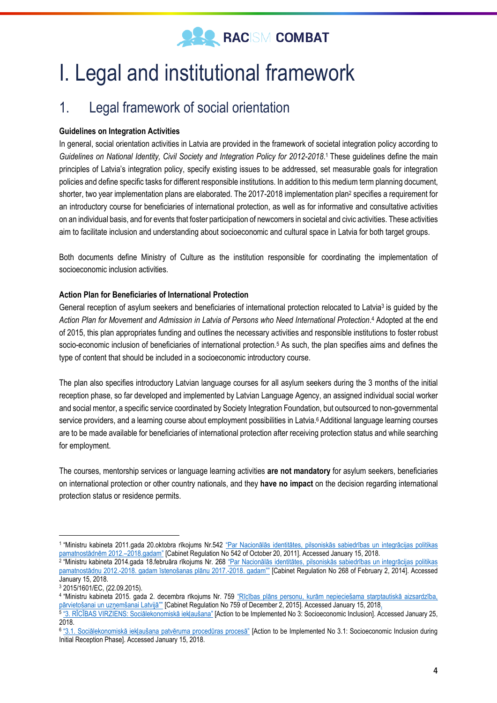

## <span id="page-3-0"></span>I. Legal and institutional framework

### <span id="page-3-1"></span>1. Legal framework of social orientation

#### **Guidelines on Integration Activities**

In general, social orientation activities in Latvia are provided in the framework of societal integration policy according to *Guidelines on National Identity, Civil Society and Integration Policy for 2012-2018*. <sup>1</sup> These guidelines define the main principles of Latvia's integration policy, specify existing issues to be addressed, set measurable goals for integration policies and define specific tasks for different responsible institutions. In addition to this medium term planning document, shorter, two year implementation plans are elaborated. The 2017-2018 implementation plan<sup>2</sup> specifies a requirement for an introductory course for beneficiaries of international protection, as well as for informative and consultative activities on an individual basis, and for events that foster participation of newcomers in societal and civic activities. These activities aim to facilitate inclusion and understanding about socioeconomic and cultural space in Latvia for both target groups.

Both documents define Ministry of Culture as the institution responsible for coordinating the implementation of socioeconomic inclusion activities.

#### **Action Plan for Beneficiaries of International Protection**

General reception of asylum seekers and beneficiaries of international protection relocated to Latvia<sup>3</sup> is guided by the *Action Plan for Movement and Admission in Latvia of Persons who Need International Protection*. <sup>4</sup> Adopted at the end of 2015, this plan appropriates funding and outlines the necessary activities and responsible institutions to foster robust socio-economic inclusion of beneficiaries of international protection.<sup>5</sup> As such, the plan specifies aims and defines the type of content that should be included in a socioeconomic introductory course.

The plan also specifies introductory Latvian language courses for all asylum seekers during the 3 months of the initial reception phase, so far developed and implemented by Latvian Language Agency, an assigned individual social worker and social mentor, a specific service coordinated by Society Integration Foundation, but outsourced to non-governmental service providers, and a learning course about employment possibilities in Latvia.<sup>6</sup> Additional language learning courses are to be made available for beneficiaries of international protection after receiving protection status and while searching for employment.

The courses, mentorship services or language learning activities **are not mandatory** for asylum seekers, beneficiaries on international protection or other country nationals, and they **have no impact** on the decision regarding international protection status or residence permits.

<sup>&</sup>lt;sup>1</sup> "Ministru kabineta 2011.gada 20.oktobra rīkojums Nr.542 "<u>Par Nacionālās identitātes, pilsoniskās sabiedrības un integrācijas politikas</u> [pamatnostādnēm 2012.–2018.gadam"](https://likumi.lv/doc.php?id=238195) [Cabinet Regulation No 542 of October 20, 2011]. Accessed January 15, 2018.

<sup>2</sup> "Ministru kabineta 2014.gada 18.februāra rīkojums Nr. 268 ["Par Nacionālās identitātes, pilsoniskās sabiedrības un integrācijas politikas](https://likumi.lv/doc.php?id=291179)  pamatnostādņu 2012.-[2018. gadam īstenošanas plānu 2017.](https://likumi.lv/doc.php?id=291179)-2018. gadam"" [Cabinet Regulation No 268 of February 2, 2014]. Accessed January 15, 2018.

<sup>3</sup> 2015/1601/EC, (22.09.2015).

<sup>4</sup> "Ministru kabineta 2015. gada 2. decembra rīkojums Nr. 759 ["Rīcības plāns personu, kurām nepieciešama starptautiskā aizsardzība,](https://likumi.lv/ta/id/278257)  <u>[pārvietošanai un uzņemšanai Latvijā""](https://likumi.lv/ta/id/278257)</u> [Cabinet Regulation No 759 of December 2, 2015]. Accessed January 15, 2018<u>.</u><br><sup>5 </sup>["3. RĪCĪBAS VIRZIENS: Sociālekonomiskā iekļaušana"](https://likumi.lv/ta/id/278257) [Action to be Implemented No 3: Socioeconomic Inc

<sup>2018.</sup>

<sup>6</sup> ["3.1. Sociālekonomiskā iekļaušana patvēruma procedūras procesā"](https://likumi.lv/ta/id/278257) [Action to be Implemented No 3.1: Socioeconomic Inclusion during Initial Reception Phase]. Accessed January 15, 2018.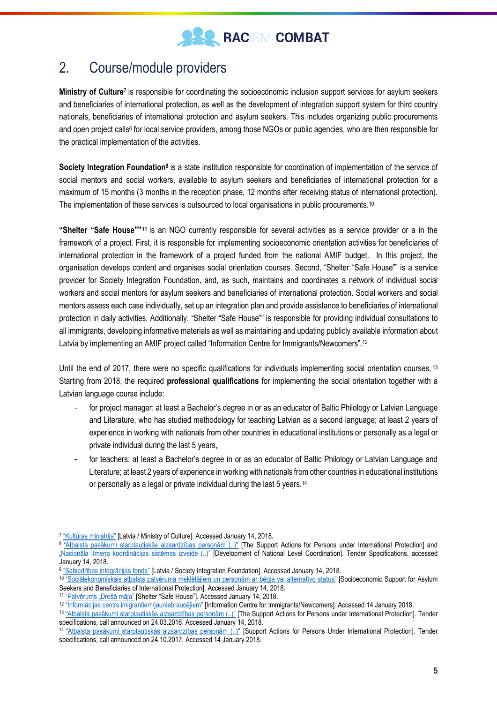

### <span id="page-4-0"></span>2. Course/module providers

**Ministry of Culture<sup>7</sup> is responsible for coordinating the socioeconomic inclusion support services for asylum seekers** and beneficiaries of international protection, as well as the development of integration support system for third country nationals, beneficiaries of international protection and asylum seekers. This includes organizing public procurements and open project calls<sup>8</sup> for local service providers, among those NGOs or public agencies, who are then responsible for the practical implementation of the activities.

**Society Integration Foundation<sup>9</sup> is a state institution responsible for coordination of implementation of the service of** social mentors and social workers, available to asylum seekers and beneficiaries of international protection for a maximum of 15 months (3 months in the reception phase, 12 months after receiving status of international protection). The implementation of these services is outsourced to local organisations in public procurements.<sup>10</sup>

**"Shelter "Safe House""<sup>11</sup>** is an NGO currently responsible for several activities as a service provider or a in the framework of a project. First, it is responsible for implementing socioeconomic orientation activities for beneficiaries of international protection in the framework of a project funded from the national AMIF budget. In this project, the organisation develops content and organises social orientation courses. Second, "Shelter "Safe House"" is a service provider for Society Integration Foundation, and, as such, maintains and coordinates a network of individual social workers and social mentors for asylum seekers and beneficiaries of international protection. Social workers and social mentors assess each case individually, set up an integration plan and provide assistance to beneficiaries of international protection in daily activities. Additionally, "Shelter "Safe House"" is responsible for providing individual consultations to all immigrants, developing informative materials as well as maintaining and updating publicly available information about Latvia by implementing an AMIF project called "Information Centre for Immigrants/Newcomers".<sup>12</sup>

Until the end of 2017, there were no specific qualifications for individuals implementing social orientation courses. 13 Starting from 2018, the required **professional qualifications** for implementing the social orientation together with a Latvian language course include:

- for project manager: at least a Bachelor's degree in or as an educator of Baltic Philology or Latvian Language and Literature, who has studied methodology for teaching Latvian as a second language; at least 2 years of experience in working with nationals from other countries in educational institutions or personally as a legal or private individual during the last 5 years,
- for teachers: at least a Bachelor's degree in or as an educator of Baltic Philology or Latvian Language and Literature; at least 2 years of experience in working with nationals from other countries in educational institutions or personally as a legal or private individual during the last 5 years.<sup>14</sup>

<sup>&</sup>lt;sup>7</sup> ["Kultūras ministrija"](https://km.gov.lv/en) [Latvia / Ministry of Culture]. Accessed January 14, 2018.

<sup>&</sup>lt;sup>8</sup> ["Atbalsta pasākumi starptautiskās aizsardzības personām \(..\)"](https://km.gov.lv/uploads/ckeditor/files/PMIF/konkursi/PMIF_27.10.2017_02/Nolikums_9akt.pdf) [The Support Actions for Persons under International Protection] and ["Nacionāla līmeņa koordinācijas sistēmas izveide \(..\)"](https://www.km.gov.lv/uploads/ckeditor/files/PMIF/konkursi/PMIF_27.10.2017_01/Nolikums_12aktivitate.pdf) [Development of National Level Coordination]. Tender Specifications, accessed January 14, 2018.

<sup>9</sup> ["Sabiedrības integrācijas fonds"](https://http/www.sif.gov.lv) [Latvia / Society Integration Foundation]. Accessed January 14, 2018.

<sup>10</sup> ["Sociālekonomiskais atbalsts patvēruma meklētājiem un personām ar bēgļa vai alternatīvo status"](http://www.sif.gov.lv/index.php?option=com_content&view=article&id=10060%3A) [Socioeconomic Support for Asylum Seekers and Beneficiaries of International Protection]. Accessed January 14, 2018.

<sup>11</sup> ["Patvērums "Drošā māja"](http://patverums-dm.lv/en) [Shelter "Safe House"]. Accessed January 14, 2018.

<sup>12</sup> ["Informācijas centrs imigrantiem/jauniebraucējiem"](http://patverums-dm.lv/lv/informacijas-centrs-imigrantiem) [Information Centre for Immigrants/Newcomers]. Accessed 14 January 2018.

<sup>13</sup> ["Atbalsta pasākumi starptautiskās aizsardzības personām \(..\)"](http://oldweb.km.lv/lv/doc/ES/pmif/konkursi/KMnol_30032016_PMIF_9aktivitate.pdf) [The Support Actions for Persons under International Protection]. Tender specifications, call announced on 24.03.2016. Accessed January 14, 2018.

<sup>14</sup> ["Atbalsta pasākumi starptautiskās aizsardzības personām \(..\)"](https://km.gov.lv/uploads/ckeditor/files/PMIF/konkursi/PMIF_27.10.2017_02/Nolikums_9akt.pdf) [Support Actions for Persons Under International Protection]. Tender specifications, call announced on 24.10.2017. Accessed 14 January 2018.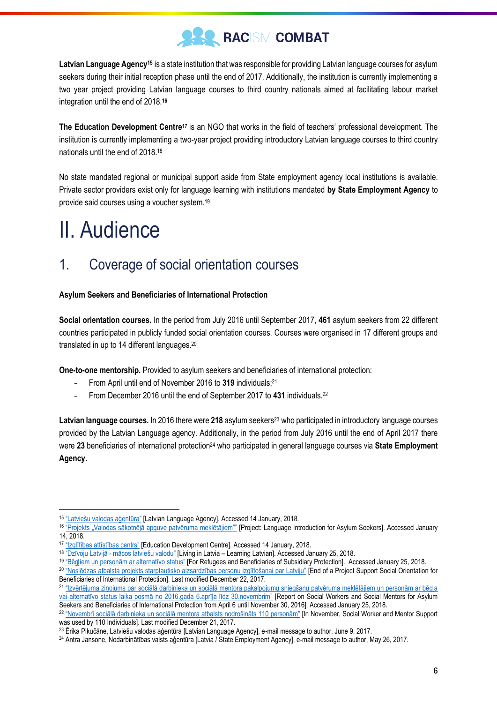

**Latvian Language Agency<sup>15</sup>** is a state institution that was responsible for providing Latvian language courses for asylum seekers during their initial reception phase until the end of 2017. Additionally, the institution is currently implementing a two year project providing Latvian language courses to third country nationals aimed at facilitating labour market integration until the end of 2018.**<sup>16</sup>**

**The Education Development Centre<sup>17</sup>** is an NGO that works in the field of teachers' professional development. The institution is currently implementing a two-year project providing introductory Latvian language courses to third country nationals until the end of 2018.<sup>18</sup>

No state mandated regional or municipal support aside from State employment agency local institutions is available. Private sector providers exist only for language learning with institutions mandated **by State Employment Agency** to provide said courses using a voucher system.<sup>19</sup>

## <span id="page-5-0"></span>II. Audience

 $\overline{a}$ 

### <span id="page-5-1"></span>1. Coverage of social orientation courses

#### **Asylum Seekers and Beneficiaries of International Protection**

**Social orientation courses.** In the period from July 2016 until September 2017, **461** asylum seekers from 22 different countries participated in publicly funded social orientation courses. Courses were organised in 17 different groups and translated in up to 14 different languages.<sup>20</sup>

**One-to-one mentorship.** Provided to asylum seekers and beneficiaries of international protection:

- From April until end of November 2016 to **319** individuals;<sup>21</sup>
- From December 2016 until the end of September 2017 to **431** individuals.<sup>22</sup>

Latvian language courses. In 2016 there were 218 asylum seekers<sup>23</sup> who participated in introductory language courses provided by the Latvian Language agency. Additionally, in the period from July 2016 until the end of April 2017 there were **23** beneficiaries of international protection<sup>24</sup> who participated in general language courses via **State Employment Agency.**

<sup>15</sup> ["Latviešu valodas aģentūra"](http://www.valoda.lv/) [Latvian Language Agency]. Accessed 14 January, 2018.

<sup>&</sup>lt;sup>16 "</sup>Projekts "Valodas sākotnējā apguve patvēruma meklētājiem"" [Project: Language Introduction for Asylum Seekers]. Accessed January 14, 2018.

<sup>&</sup>lt;sup>17</sup> ["Izglītības attīstības centrs"](http://www.iac.edu.lv/) [Education Development Centre]. Accessed 14 January, 2018.

<sup>18</sup> "Dzīvoju Latvijā - [mācos latviešu valodu"](http://www.iac.edu.lv/projekti-en-us/aktualie-projekti-en-us/dzivoju-latvija-macos-latviesu-valodu-en-us/) [Living in Latvia – Learning Latvian]. Accessed January 25, 2018.

<sup>19</sup> ["Bēgļiem un personām ar alternatīvo status"](http://www.nva.gov.lv/index.php?cid=433&mid=551&txt=4640) [For Refugees and Beneficiaries of Subsidiary Protection]. Accessed January 25, 2018.

<sup>&</sup>lt;sup>20</sup> ["Noslēdzas atbalsta projekts starptautisko aizsardzības personu izglītošanai par Latviju"](http://www.patverums-dm.lv/lv/nosledzas-atbalsta-projekts-starptautisko-aizsardzibas-personu-izglitosanai-par-latviju/889) [End of a Project Support Social Orientation for Beneficiaries of International Protection]. Last modified December 22, 2017.

<sup>21</sup> ["Izvērtējuma ziņojums par sociālā darbinieka un sociālā mentora pakalpojumu sniegšanu patvēruma meklētājiem un personām ar bēgļa](http://www.redcross.lv/wp-content/uploads/2016/12/2016.12.16_LSK-mentoru-programmas-8-menesu-izvertejums-04-11.2016.pdf)  [vai alternatīvo status laika posmā no 2016.gada 6.aprīļa līdz 30.novembrim"](http://www.redcross.lv/wp-content/uploads/2016/12/2016.12.16_LSK-mentoru-programmas-8-menesu-izvertejums-04-11.2016.pdf) [Report on Social Workers and Social Mentors for Asylum Seekers and Beneficiaries of International Protection from April 6 until November 30, 2016]. Accessed January 25, 2018.

<sup>22</sup> ["Novembrī sociālā darbinieka un sociālā mentora atbalsts nodrošināts 110 personām"](http://www.patverums-dm.lv/lv/novembri-sociala-darbinieka-un-sociala-mentora-atbalsts-nodrosinats-110-personam/891) [In November, Social Worker and Mentor Support was used by 110 Individuals]. Last modified December 21, 2017.

<sup>23</sup> Ērika Pikučāne, Latviešu valodas aģentūra [Latvian Language Agency], e-mail message to author, June 9, 2017.

<sup>24</sup> Antra Jansone, Nodarbinātības valsts aģentūra [Latvia / State Employment Agency], e-mail message to author, May 26, 2017.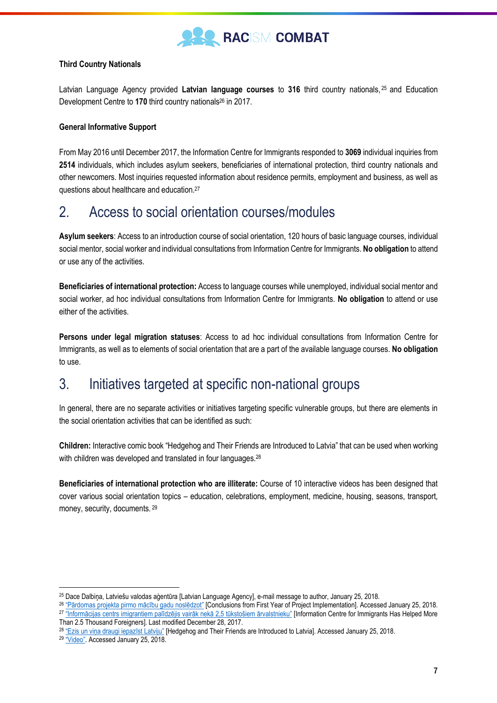

#### **Third Country Nationals**

Latvian Language Agency provided **Latvian language courses** to **316** third country nationals, <sup>25</sup> and Education Development Centre to **170** third country nationals<sup>26</sup> in 2017.

#### **General Informative Support**

From May 2016 until December 2017, the Information Centre for Immigrants responded to **3069** individual inquiries from **2514** individuals, which includes asylum seekers, beneficiaries of international protection, third country nationals and other newcomers. Most inquiries requested information about residence permits, employment and business, as well as questions about healthcare and education.<sup>27</sup>

#### <span id="page-6-0"></span>2. Access to social orientation courses/modules

**Asylum seekers**: Access to an introduction course of social orientation, 120 hours of basic language courses, individual social mentor, social worker and individual consultations from Information Centre for Immigrants. **No obligation** to attend or use any of the activities.

**Beneficiaries of international protection:** Access to language courses while unemployed, individual social mentor and social worker, ad hoc individual consultations from Information Centre for Immigrants. **No obligation** to attend or use either of the activities.

**Persons under legal migration statuses**: Access to ad hoc individual consultations from Information Centre for Immigrants, as well as to elements of social orientation that are a part of the available language courses. **No obligation**  to use.

#### <span id="page-6-1"></span>3. Initiatives targeted at specific non-national groups

In general, there are no separate activities or initiatives targeting specific vulnerable groups, but there are elements in the social orientation activities that can be identified as such:

**Children:** Interactive comic book "Hedgehog and Their Friends are Introduced to Latvia" that can be used when working with children was developed and translated in four languages.<sup>28</sup>

**Beneficiaries of international protection who are illiterate:** Course of 10 interactive videos has been designed that cover various social orientation topics – education, celebrations, employment, medicine, housing, seasons, transport, money, security, documents. <sup>29</sup>

<sup>25</sup> Dace Dalbiņa, Latviešu valodas aģentūra [Latvian Language Agency], e-mail message to author, January 25, 2018.

<sup>&</sup>lt;sup>26</sup> ["Pārdomas projekta pirmo mācību gadu noslēdzot"](http://www.iac.edu.lv/aktualie-projekti/dzivoju-latvija-macos-latviesu-valodu/pardomas-projekta-pirmo-macibu-gadu-nosledzot/) [Conclusions from First Year of Project Implementation]. Accessed January 25, 2018. <sup>27</sup> ["Informācijas centrs imigrantiem palīdzējis vairāk nekā 2,5 tūkstošiem ārvalstnieku"](http://patverums-dm.lv/lv/informacijas-centrs-imigrantiem) [Information Centre for Immigrants Has Helped More Than 2.5 Thousand Foreigners]. Last modified December 28, 2017.

<sup>28</sup> ["Ezis un viņa draugi iepazīst Latviju"](http://www.beglis.lv/uploads/files/informativie-materiali/eza-draugi-lv.pdf) [Hedgehog and Their Friends are Introduced to Latvia]. Accessed January 25, 2018.

<sup>29</sup> ["Video"](http://www.beglis.lv/en/video-1). Accessed January 25, 2018.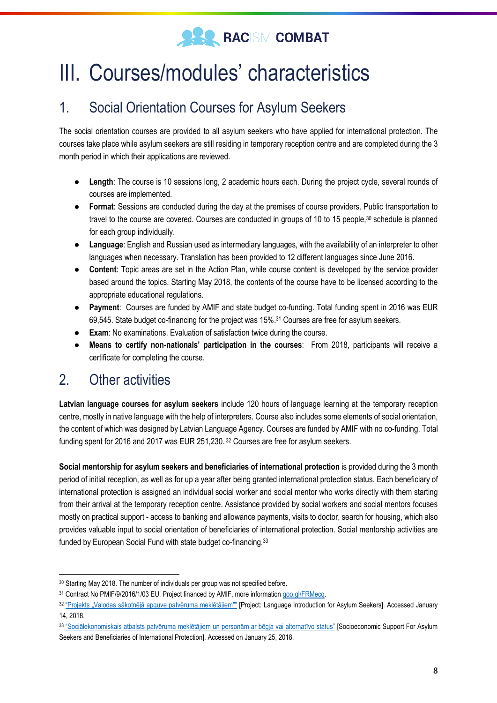

## <span id="page-7-0"></span>III. Courses/modules' characteristics

### <span id="page-7-1"></span>1. Social Orientation Courses for Asylum Seekers

The social orientation courses are provided to all asylum seekers who have applied for international protection. The courses take place while asylum seekers are still residing in temporary reception centre and are completed during the 3 month period in which their applications are reviewed.

- **Length**: The course is 10 sessions long, 2 academic hours each. During the project cycle, several rounds of courses are implemented.
- **Format**: Sessions are conducted during the day at the premises of course providers. Public transportation to travel to the course are covered. Courses are conducted in groups of 10 to 15 people,<sup>30</sup> schedule is planned for each group individually.
- **Language**: English and Russian used as intermediary languages, with the availability of an interpreter to other languages when necessary. Translation has been provided to 12 different languages since June 2016.
- **Content**: Topic areas are set in the Action Plan, while course content is developed by the service provider based around the topics. Starting May 2018, the contents of the course have to be licensed according to the appropriate educational regulations.
- **Payment**: Courses are funded by AMIF and state budget co-funding. Total funding spent in 2016 was EUR 69,545. State budget co-financing for the project was 15%.<sup>31</sup> Courses are free for asylum seekers.
- **Exam**: No examinations. Evaluation of satisfaction twice during the course.
- **Means to certify non-nationals' participation in the courses**: From 2018, participants will receive a certificate for completing the course.

### <span id="page-7-2"></span>2. Other activities

 $\overline{a}$ 

**Latvian language courses for asylum seekers** include 120 hours of language learning at the temporary reception centre, mostly in native language with the help of interpreters. Course also includes some elements of social orientation, the content of which was designed by Latvian Language Agency. Courses are funded by AMIF with no co-funding. Total funding spent for 2016 and 2017 was EUR 251,230. <sup>32</sup> Courses are free for asylum seekers.

**Social mentorship for asylum seekers and beneficiaries of international protection** is provided during the 3 month period of initial reception, as well as for up a year after being granted international protection status. Each beneficiary of international protection is assigned an individual social worker and social mentor who works directly with them starting from their arrival at the temporary reception centre. Assistance provided by social workers and social mentors focuses mostly on practical support - access to banking and allowance payments, visits to doctor, search for housing, which also provides valuable input to social orientation of beneficiaries of international protection. Social mentorship activities are funded by European Social Fund with state budget co-financing.<sup>33</sup>

<sup>&</sup>lt;sup>30</sup> Starting May 2018. The number of individuals per group was not specified before.

<sup>31</sup> Contract No PMIF/9/2016/1/03 EU. Project financed by AMIF, more information [goo.gl/FRMecq.](file:///C:/Users/rasmuss.geks/Downloads/goo.gl/FRMecq)

<sup>32</sup> ["Projekts "Valodas sākotnējā apguve patvēruma meklētājiem""](http://www.valoda.lv/projekti/starptautiskie-projekti/patveruma-migracijas-un-integracijas-fonda-2014-2020-projekts-valodas-sakotneja-apguve-patveruma-mekletajiem-nr-lvapmif20162/) [Project: Language Introduction for Asylum Seekers]. Accessed January 14, 2018.

<sup>33</sup> ["Sociālekonomiskais atbalsts patvēruma meklētājiem un personām ar bēgļa vai alternatīvo status"](http://www.sif.gov.lv/index.php?option=com_content&view=article&id=10060%3A) [Socioeconomic Support For Asylum Seekers and Beneficiaries of International Protection]. Accessed on January 25, 2018.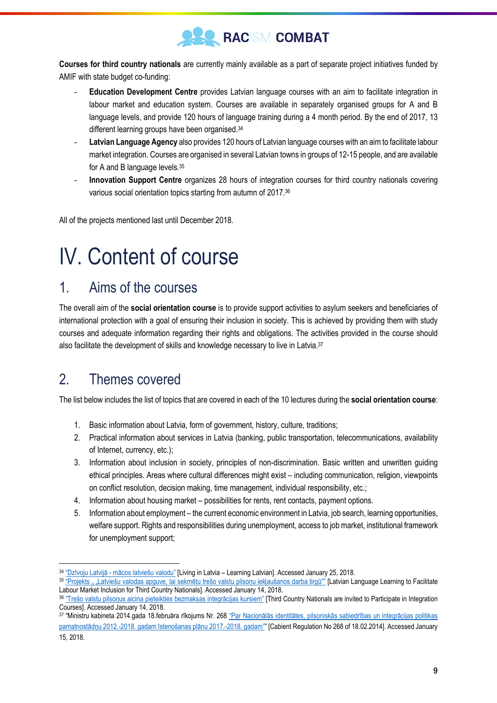

**Courses for third country nationals** are currently mainly available as a part of separate project initiatives funded by AMIF with state budget co-funding:

- **Education Development Centre** provides Latvian language courses with an aim to facilitate integration in labour market and education system. Courses are available in separately organised groups for A and B language levels, and provide 120 hours of language training during a 4 month period. By the end of 2017, 13 different learning groups have been organised.<sup>34</sup>
- **Latvian Language Agency** also provides 120 hours of Latvian language courses with an aim to facilitate labour market integration. Courses are organised in several Latvian towns in groups of 12-15 people, and are available for A and B language levels.<sup>35</sup>
- **Innovation Support Centre** organizes 28 hours of integration courses for third country nationals covering various social orientation topics starting from autumn of 2017.<sup>36</sup>

All of the projects mentioned last until December 2018.

## <span id="page-8-0"></span>IV. Content of course

#### <span id="page-8-1"></span>1. Aims of the courses

The overall aim of the **social orientation course** is to provide support activities to asylum seekers and beneficiaries of international protection with a goal of ensuring their inclusion in society. This is achieved by providing them with study courses and adequate information regarding their rights and obligations. The activities provided in the course should also facilitate the development of skills and knowledge necessary to live in Latvia.<sup>37</sup>

### <span id="page-8-2"></span>2. Themes covered

The list below includes the list of topics that are covered in each of the 10 lectures during the **social orientation course**:

- 1. Basic information about Latvia, form of government, history, culture, traditions;
- 2. Practical information about services in Latvia (banking, public transportation, telecommunications, availability of Internet, currency, etc.);
- 3. Information about inclusion in society, principles of non-discrimination. Basic written and unwritten guiding ethical principles. Areas where cultural differences might exist – including communication, religion, viewpoints on conflict resolution, decision making, time management, individual responsibility, etc.;
- 4. Information about housing market possibilities for rents, rent contacts, payment options.
- 5. Information about employment the current economic environment in Latvia, job search, learning opportunities, welfare support. Rights and responsibilities during unemployment, access to job market, institutional framework for unemployment support;

<sup>34</sup> "Dzīvoju Latvijā - [mācos latviešu valodu"](http://www.iac.edu.lv/the-main-projects-and-activities-implemented-by-edc/living-in-latvia-learning-latvian/) [Living in Latvia – Learning Latvian]. Accessed January 25, 2018.

<sup>35 &</sup>quot;Projekts " ["Latviešu valodas apguve, lai sekmētu trešo valstu](http://www.valoda.lv/projekti/starptautiskie-projekti/patveruma-migracijas-un-integracijas-fonda-2014-2020-projekts-valodas-sakotneja-apguve-patveruma-mekletajiem-nr-lvapmif20162/) pilsoņu iekļaušanos darba tirgū"" [Latvian Language Learning to Facilitate Labour Market Inclusion for Third Country Nationals]. Accessed January 14, 2018.

<sup>36</sup> ["Trešo valstu pilsoņus aicina pieteikties bezmaksas integrācijas kursiem"](http://www.iksd.riga.lv/public/86677.html) [Third Country Nationals are invited to Participate in Integration Courses]. Accessed January 14, 2018.

<sup>37</sup> "Ministru kabineta 2014.gada 18.februāra rīkojums Nr. 268 ["Par Nacionālās identitātes, pilsoniskās sabiedrības un integrācijas politikas](https://likumi.lv/doc.php?id=291179)  pamatnostādņu 2012.-[2018. gadam īstenošanas plānu 2017.](https://likumi.lv/doc.php?id=291179)-2018. gadam"" [Cabient Regulation No 268 of 18.02.2014]. Accessed January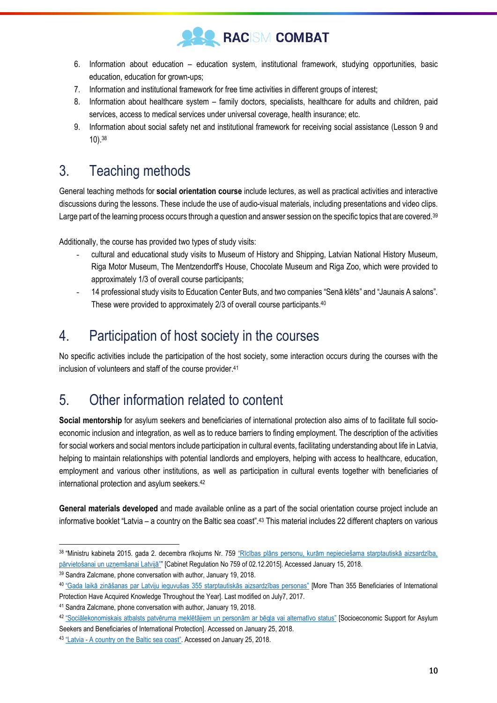

- 6. Information about education education system, institutional framework, studying opportunities, basic education, education for grown-ups;
- 7. Information and institutional framework for free time activities in different groups of interest;
- 8. Information about healthcare system family doctors, specialists, healthcare for adults and children, paid services, access to medical services under universal coverage, health insurance; etc.
- 9. Information about social safety net and institutional framework for receiving social assistance (Lesson 9 and 10).<sup>38</sup>

### <span id="page-9-0"></span>3. Teaching methods

General teaching methods for **social orientation course** include lectures, as well as practical activities and interactive discussions during the lessons. These include the use of audio-visual materials, including presentations and video clips. Large part of the learning process occurs through a question and answer session on the specific topics that are covered.<sup>39</sup>

Additionally, the course has provided two types of study visits:

- cultural and educational study visits to Museum of History and Shipping, Latvian National History Museum, Riga Motor Museum, The Mentzendorff's House, Chocolate Museum and Riga Zoo, which were provided to approximately 1/3 of overall course participants;
- 14 professional study visits to Education Center Buts, and two companies "Senā klēts" and "Jaunais A salons". These were provided to approximately 2/3 of overall course participants.<sup>40</sup>

### <span id="page-9-1"></span>4. Participation of host society in the courses

No specific activities include the participation of the host society, some interaction occurs during the courses with the inclusion of volunteers and staff of the course provider.<sup>41</sup>

### <span id="page-9-2"></span>5. Other information related to content

**Social mentorship** for asylum seekers and beneficiaries of international protection also aims of to facilitate full socioeconomic inclusion and integration, as well as to reduce barriers to finding employment. The description of the activities for social workers and social mentors include participation in cultural events, facilitating understanding about life in Latvia, helping to maintain relationships with potential landlords and employers, helping with access to healthcare, education, employment and various other institutions, as well as participation in cultural events together with beneficiaries of international protection and asylum seekers.<sup>42</sup>

**General materials developed** and made available online as a part of the social orientation course project include an informative booklet "Latvia – a country on the Baltic sea coast".<sup>43</sup> This material includes 22 different chapters on various

<sup>38</sup> "Ministru kabineta 2015. gada 2. decembra rīkojums Nr. 759 ["Rīcības plāns personu, kurām nepieciešama starptautiskā aizsardzība,](file:///C:/Users/rasmuss.geks/Downloads/,%20https:/likumi.lv/ta/id/278257)  [pārvietošanai un uzņemšanai Latvijā""](file:///C:/Users/rasmuss.geks/Downloads/,%20https:/likumi.lv/ta/id/278257) [Cabinet Regulation No 759 of 02.12.2015]. Accessed January 15, 2018.

<sup>39</sup> Sandra Zalcmane, phone conversation with author, January 19, 2018.

<sup>40</sup> ["Gada laikā zināšanas par Latviju ieguvušas 355 starptautiskās aizsardzības personas"](http://www.patverums-dm.lv/lv/gada-laika-zinasanas-par-latviju-ieguvusas-355-starptautiskas-aizsardzibas-personas/858) [More Than 355 Beneficiaries of International Protection Have Acquired Knowledge Throughout the Year]. Last modified on July7, 2017.

<sup>41</sup> Sandra Zalcmane, phone conversation with author, January 19, 2018.

<sup>42</sup> ["Sociālekonomiskais atbalsts patvēruma meklētājiem un personām ar bēgļa vai alternatīvo status"](http://www.sif.gov.lv/index.php?option=com_content&view=article&id=10060%3A) [Socioeconomic Support for Asylum

Seekers and Beneficiaries of International Protection]. Accessed on January 25, 2018.

<sup>43</sup> "Latvia - [A country on the Balt](http://www.beglis.lv/uploads/files/informativie-materiali/drosamaja-buklets-en-a4.pdf)ic sea coast". Accessed on January 25, 2018.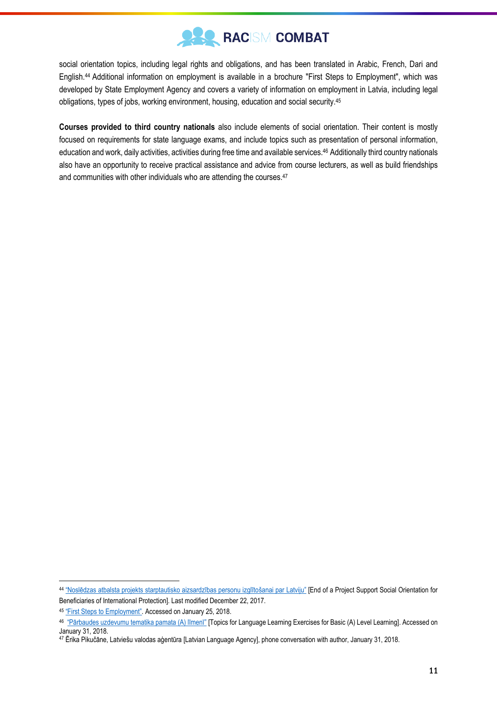

social orientation topics, including legal rights and obligations, and has been translated in Arabic, French, Dari and English.<sup>44</sup> Additional information on employment is available in a brochure "First Steps to Employment", which was developed by State Employment Agency and covers a variety of information on employment in Latvia, including legal obligations, types of jobs, working environment, housing, education and social security.<sup>45</sup>

**Courses provided to third country nationals** also include elements of social orientation. Their content is mostly focused on requirements for state language exams, and include topics such as presentation of personal information, education and work, daily activities, activities during free time and available services.<sup>46</sup> Additionally third country nationals also have an opportunity to receive practical assistance and advice from course lecturers, as well as build friendships and communities with other individuals who are attending the courses.<sup>47</sup>

<sup>44</sup> ["Noslēdzas atbalsta projekts starptautisko aizsardzības personu izglītošanai par Latviju"](http://www.patverums-dm.lv/lv/nosledzas-atbalsta-projekts-starptautisko-aizsardzibas-personu-izglitosanai-par-latviju/889) [End of a Project Support Social Orientation for Beneficiaries of International Protection]. Last modified December 22, 2017.

<sup>45</sup> ["First Steps to Employment"](http://www.beglis.lv/uploads/files/informativie-materiali/brosura-en.pdf). Accessed on January 25, 2018.

<sup>&</sup>lt;sup>46</sup> ["Pārbaudes uzdevumu tematika pamata \(A\) līmenī"](http://visc.gov.lv/valval/dokumenti/uzd_tem_a.pdf) [Topics for Language Learning Exercises for Basic (A) Level Learning]. Accessed on January 31, 2018.

<sup>47</sup> Ērika Pikučāne, Latviešu valodas aģentūra [Latvian Language Agency], phone conversation with author, January 31, 2018.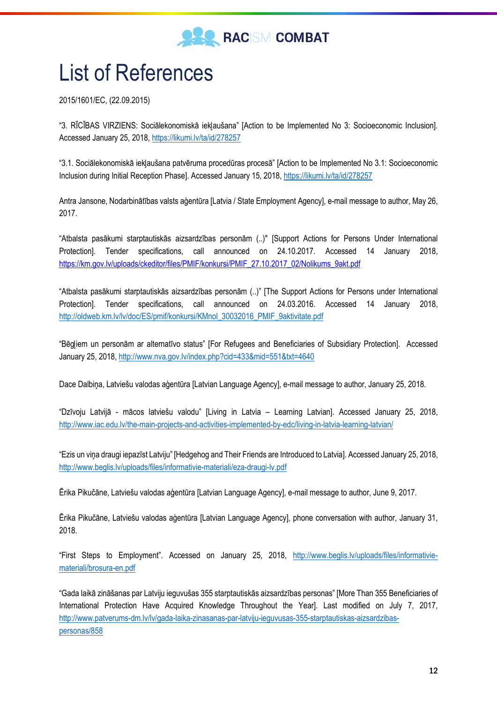

## <span id="page-11-0"></span>List of References

2015/1601/EC, (22.09.2015)

"3. RĪCĪBAS VIRZIENS: Sociālekonomiskā iekļaušana" [Action to be Implemented No 3: Socioeconomic Inclusion]. Accessed January 25, 2018,<https://likumi.lv/ta/id/278257>

"3.1. Sociālekonomiskā iekļaušana patvēruma procedūras procesā" [Action to be Implemented No 3.1: Socioeconomic Inclusion during Initial Reception Phase]. Accessed January 15, 2018,<https://likumi.lv/ta/id/278257>

Antra Jansone, Nodarbinātības valsts aģentūra [Latvia / State Employment Agency], e-mail message to author, May 26, 2017.

"Atbalsta pasākumi starptautiskās aizsardzības personām (..)" [Support Actions for Persons Under International Protection]. Tender specifications, call announced on 24.10.2017. Accessed 14 January 2018, [https://km.gov.lv/uploads/ckeditor/files/PMIF/konkursi/PMIF\\_27.10.2017\\_02/Nolikums\\_9akt.pdf](https://km.gov.lv/uploads/ckeditor/files/PMIF/konkursi/PMIF_27.10.2017_02/Nolikums_9akt.pdf)

"Atbalsta pasākumi starptautiskās aizsardzības personām (..)" [The Support Actions for Persons under International Protection]. Tender specifications, call announced on 24.03.2016. Accessed 14 January 2018, [http://oldweb.km.lv/lv/doc/ES/pmif/konkursi/KMnol\\_30032016\\_PMIF\\_9aktivitate.pdf](http://oldweb.km.lv/lv/doc/ES/pmif/konkursi/KMnol_30032016_PMIF_9aktivitate.pdf)

"Bēgļiem un personām ar alternatīvo status" [For Refugees and Beneficiaries of Subsidiary Protection]. Accessed January 25, 2018[, http://www.nva.gov.lv/index.php?cid=433&mid=551&txt=4640](http://www.nva.gov.lv/index.php?cid=433&mid=551&txt=4640)

Dace Dalbiņa, Latviešu valodas aģentūra [Latvian Language Agency], e-mail message to author, January 25, 2018.

"Dzīvoju Latvijā - mācos latviešu valodu" [Living in Latvia – Learning Latvian]. Accessed January 25, 2018, <http://www.iac.edu.lv/the-main-projects-and-activities-implemented-by-edc/living-in-latvia-learning-latvian/>

"Ezis un viņa draugi iepazīst Latviju" [Hedgehog and Their Friends are Introduced to Latvia]. Accessed January 25, 2018, <http://www.beglis.lv/uploads/files/informativie-materiali/eza-draugi-lv.pdf>

Ērika Pikučāne, Latviešu valodas aģentūra [Latvian Language Agency], e-mail message to author, June 9, 2017.

Ērika Pikučāne, Latviešu valodas aģentūra [Latvian Language Agency], phone conversation with author, January 31, 2018.

"First Steps to Employment". Accessed on January 25, 2018, [http://www.beglis.lv/uploads/files/informativie](http://www.beglis.lv/uploads/files/informativie-materiali/brosura-en.pdf)[materiali/brosura-en.pdf](http://www.beglis.lv/uploads/files/informativie-materiali/brosura-en.pdf)

"Gada laikā zināšanas par Latviju ieguvušas 355 starptautiskās aizsardzības personas" [More Than 355 Beneficiaries of International Protection Have Acquired Knowledge Throughout the Year]. Last modified on July 7, 2017, [http://www.patverums-dm.lv/lv/gada-laika-zinasanas-par-latviju-ieguvusas-355-starptautiskas-aizsardzibas](http://www.patverums-dm.lv/lv/gada-laika-zinasanas-par-latviju-ieguvusas-355-starptautiskas-aizsardzibas-personas/858)[personas/858](http://www.patverums-dm.lv/lv/gada-laika-zinasanas-par-latviju-ieguvusas-355-starptautiskas-aizsardzibas-personas/858)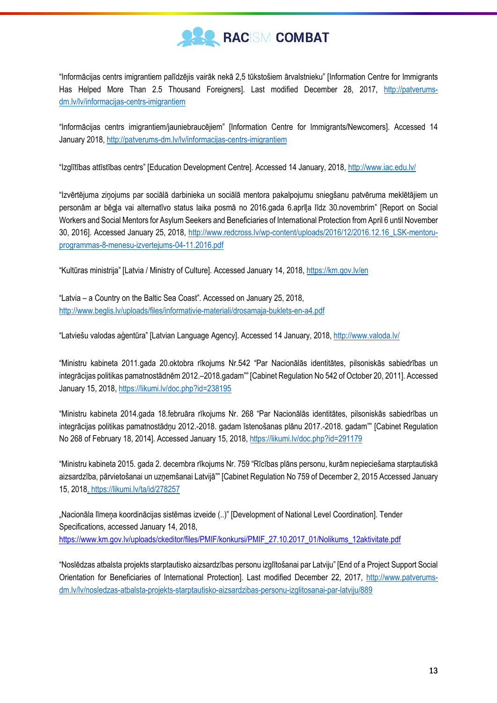

"Informācijas centrs imigrantiem palīdzējis vairāk nekā 2,5 tūkstošiem ārvalstnieku" [Information Centre for Immigrants Has Helped More Than 2.5 Thousand Foreigners]. Last modified December 28, 2017, [http://patverums](http://patverums-dm.lv/lv/informacijas-centrs-imigrantiem)[dm.lv/lv/informacijas-centrs-imigrantiem](http://patverums-dm.lv/lv/informacijas-centrs-imigrantiem)

"Informācijas centrs imigrantiem/jauniebraucējiem" [Information Centre for Immigrants/Newcomers]. Accessed 14 January 2018,<http://patverums-dm.lv/lv/informacijas-centrs-imigrantiem>

"Izglītības attīstības centrs" [Education Development Centre]. Accessed 14 January, 2018,<http://www.iac.edu.lv/>

"Izvērtējuma ziņojums par sociālā darbinieka un sociālā mentora pakalpojumu sniegšanu patvēruma meklētājiem un personām ar bēgļa vai alternatīvo status laika posmā no 2016.gada 6.aprīļa līdz 30.novembrim" [Report on Social Workers and Social Mentors for Asylum Seekers and Beneficiaries of International Protection from April 6 until November 30, 2016]. Accessed January 25, 2018, [http://www.redcross.lv/wp-content/uploads/2016/12/2016.12.16\\_LSK-mentoru](http://www.redcross.lv/wp-content/uploads/2016/12/2016.12.16_LSK-mentoru-programmas-8-menesu-izvertejums-04-11.2016.pdf)[programmas-8-menesu-izvertejums-04-11.2016.pdf](http://www.redcross.lv/wp-content/uploads/2016/12/2016.12.16_LSK-mentoru-programmas-8-menesu-izvertejums-04-11.2016.pdf)

"Kultūras ministrija" [Latvia / Ministry of Culture]. Accessed January 14, 2018, <https://km.gov.lv/en>

"Latvia – a Country on the Baltic Sea Coast". Accessed on January 25, 2018, <http://www.beglis.lv/uploads/files/informativie-materiali/drosamaja-buklets-en-a4.pdf>

"Latviešu valodas aģentūra" [Latvian Language Agency]. Accessed 14 January, 2018, <http://www.valoda.lv/>

"Ministru kabineta 2011.gada 20.oktobra rīkojums Nr.542 "Par Nacionālās identitātes, pilsoniskās sabiedrības un integrācijas politikas pamatnostādnēm 2012.–2018.gadam"" [Cabinet Regulation No 542 of October 20, 2011]. Accessed January 15, 2018[, https://likumi.lv/doc.php?id=238195](https://likumi.lv/doc.php?id=238195)

"Ministru kabineta 2014.gada 18.februāra rīkojums Nr. 268 "Par Nacionālās identitātes, pilsoniskās sabiedrības un integrācijas politikas pamatnostādņu 2012.-2018. gadam īstenošanas plāņu 2017.-2018. gadam<sup>11</sup> [Cabinet Regulation No 268 of February 18, 2014]. Accessed January 15, 2018[, https://likumi.lv/doc.php?id=291179](https://likumi.lv/doc.php?id=291179)

"Ministru kabineta 2015. gada 2. decembra rīkojums Nr. 759 "Rīcības plāns personu, kurām nepieciešama starptautiskā aizsardzība, pārvietošanai un uzņemšanai Latvijā"" [Cabinet Regulation No 759 of December 2, 2015 Accessed January 15, 201[8, https://likumi.lv/ta/id/278257](file:///C:/Users/rasmuss.geks/Downloads/,%20https:/likumi.lv/ta/id/278257)

"Nacionāla līmeņa koordinācijas sistēmas izveide (..)" [Development of National Level Coordination]. Tender Specifications, accessed January 14, 2018, [https://www.km.gov.lv/uploads/ckeditor/files/PMIF/konkursi/PMIF\\_27.10.2017\\_01/Nolikums\\_12aktivitate.pdf](https://www.km.gov.lv/uploads/ckeditor/files/PMIF/konkursi/PMIF_27.10.2017_01/Nolikums_12aktivitate.pdf)

"Noslēdzas atbalsta projekts starptautisko aizsardzības personu izglītošanai par Latviju" [End of a Project Support Social Orientation for Beneficiaries of International Protection]. Last modified December 22, 2017, [http://www.patverums](http://www.patverums-dm.lv/lv/nosledzas-atbalsta-projekts-starptautisko-aizsardzibas-personu-izglitosanai-par-latviju/889)[dm.lv/lv/nosledzas-atbalsta-projekts-starptautisko-aizsardzibas-personu-izglitosanai-par-latviju/889](http://www.patverums-dm.lv/lv/nosledzas-atbalsta-projekts-starptautisko-aizsardzibas-personu-izglitosanai-par-latviju/889)